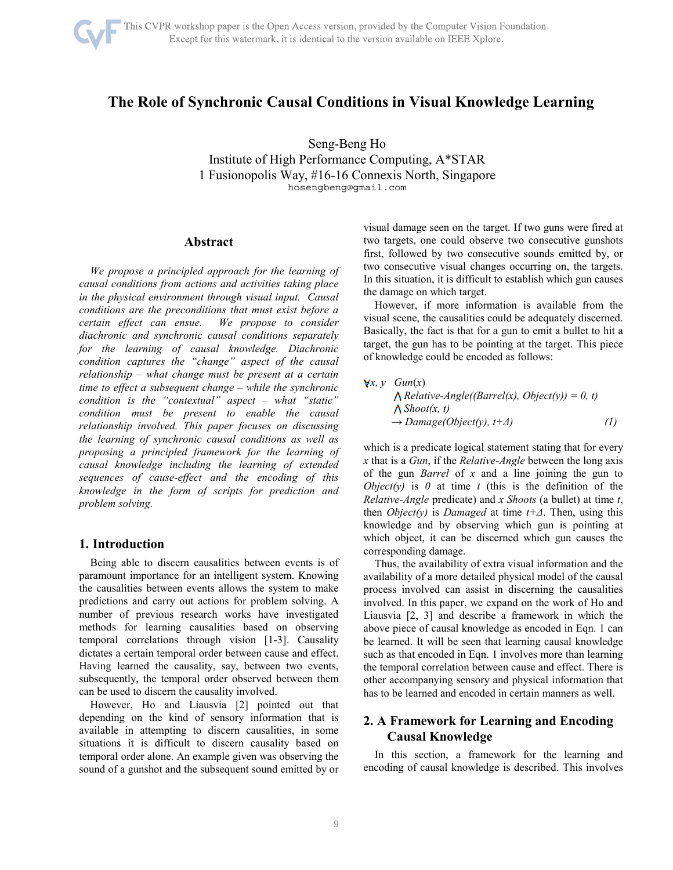

# **The Role of Synchronic Causal Conditions in Visual Knowledge Learning**

Seng-Beng Ho

Institute of High Performance Computing, A\*STAR 1 Fusionopolis Way, #16-16 Connexis North, Singapore hosengbeng@gmail.com

### **Abstract**

*We propose a principled approach for the learning of causal conditions from actions and activities taking place in the physical environment through visual input. Causal conditions are the preconditions that must exist before a certain effect can ensue. We propose to consider diachronic and synchronic causal conditions separately for the learning of causal knowledge. Diachronic condition captures the "change" aspect of the causal relationship – what change must be present at a certain time to effect a subsequent change – while the synchronic condition is the "contextual" aspect – what "static" condition must be present to enable the causal relationship involved. This paper focuses on discussing the learning of synchronic causal conditions as well as proposing a principled framework for the learning of causal knowledge including the learning of extended sequences of cause-effect and the encoding of this knowledge in the form of scripts for prediction and problem solving.* 

### **1. Introduction**

Being able to discern causalities between events is of paramount importance for an intelligent system. Knowing the causalities between events allows the system to make predictions and carry out actions for problem solving. A number of previous research works have investigated methods for learning causalities based on observing temporal correlations through vision [1-3]. Causality dictates a certain temporal order between cause and effect. Having learned the causality, say, between two events, subsequently, the temporal order observed between them can be used to discern the causality involved.

However, Ho and Liausvia [2] pointed out that depending on the kind of sensory information that is available in attempting to discern causalities, in some situations it is difficult to discern causality based on temporal order alone. An example given was observing the sound of a gunshot and the subsequent sound emitted by or visual damage seen on the target. If two guns were fired at two targets, one could observe two consecutive gunshots first, followed by two consecutive sounds emitted by, or two consecutive visual changes occurring on, the targets. In this situation, it is difficult to establish which gun causes the damage on which target.

However, if more information is available from the visual scene, the causalities could be adequately discerned. Basically, the fact is that for a gun to emit a bullet to hit a target, the gun has to be pointing at the target. This piece of knowledge could be encoded as follows:

| $\forall x, y \quad Gun(x)$                             |     |
|---------------------------------------------------------|-----|
| $\Lambda$ Relative-Angle((Barrel(x), Object(y)) = 0, t) |     |
| $\Lambda$ Shoot(x, t)                                   |     |
| $\rightarrow$ Damage(Object(y), t+ $\Delta$ )           | (1) |

which is a predicate logical statement stating that for every *x* that is a *Gun*, if the *Relative-Angle* between the long axis of the gun *Barrel* of *x* and a line joining the gun to *Object(y)* is  $\theta$  at time  $t$  (this is the definition of the *Relative-Angle* predicate) and *x Shoots* (a bullet) at time *t*, then *Object(y)* is *Damaged* at time *t+Δ*. Then, using this knowledge and by observing which gun is pointing at which object, it can be discerned which gun causes the corresponding damage.

Thus, the availability of extra visual information and the availability of a more detailed physical model of the causal process involved can assist in discerning the causalities involved. In this paper, we expand on the work of Ho and Liausvia [2, 3] and describe a framework in which the above piece of causal knowledge as encoded in Eqn. 1 can be learned. It will be seen that learning causal knowledge such as that encoded in Eqn. 1 involves more than learning the temporal correlation between cause and effect. There is other accompanying sensory and physical information that has to be learned and encoded in certain manners as well.

## **2. A Framework for Learning and Encoding Causal Knowledge**

In this section, a framework for the learning and encoding of causal knowledge is described. This involves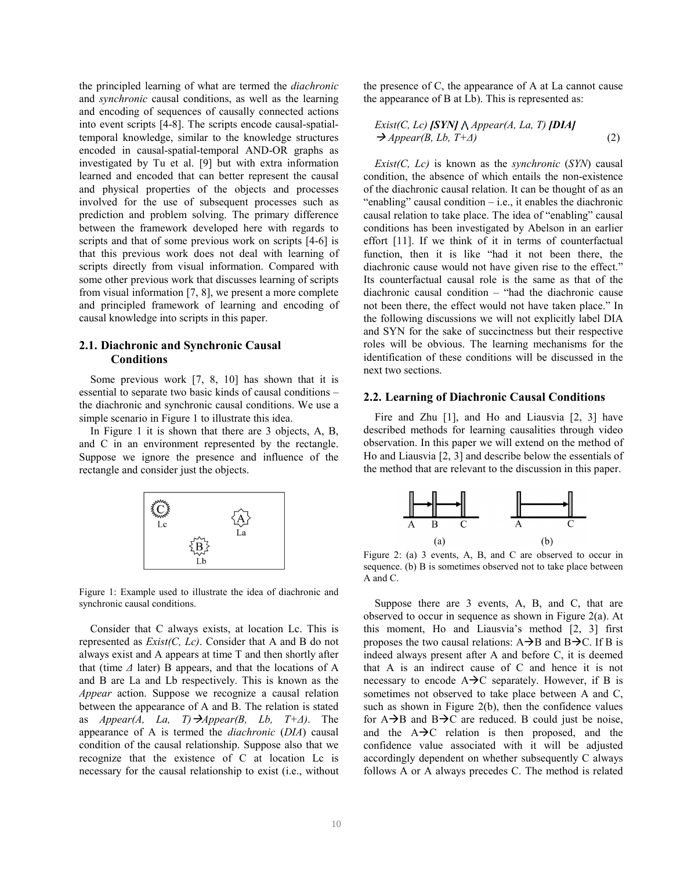the principled learning of what are termed the *diachronic* and *synchronic* causal conditions, as well as the learning and encoding of sequences of causally connected actions into event scripts [4-8]. The scripts encode causal-spatialtemporal knowledge, similar to the knowledge structures encoded in causal-spatial-temporal AND-OR graphs as investigated by Tu et al. [9] but with extra information learned and encoded that can better represent the causal and physical properties of the objects and processes involved for the use of subsequent processes such as prediction and problem solving. The primary difference between the framework developed here with regards to scripts and that of some previous work on scripts [4-6] is that this previous work does not deal with learning of scripts directly from visual information. Compared with some other previous work that discusses learning of scripts from visual information [7, 8], we present a more complete and principled framework of learning and encoding of causal knowledge into scripts in this paper.

#### **2.1. Diachronic and Synchronic Causal Conditions**

Some previous work [7, 8, 10] has shown that it is essential to separate two basic kinds of causal conditions – the diachronic and synchronic causal conditions. We use a simple scenario in Figure 1 to illustrate this idea.

In Figure 1 it is shown that there are 3 objects, A, B, and C in an environment represented by the rectangle. Suppose we ignore the presence and influence of the rectangle and consider just the objects.



Figure 1: Example used to illustrate the idea of diachronic and synchronic causal conditions.

Consider that C always exists, at location Lc. This is represented as *Exist(C, Lc)*. Consider that A and B do not always exist and A appears at time T and then shortly after that (time *Δ* later) B appears, and that the locations of A and B are La and Lb respectively. This is known as the *Appear* action. Suppose we recognize a causal relation between the appearance of A and B. The relation is stated as *Appear(A, La, T)Appear(B, Lb, T+Δ)*. The appearance of A is termed the *diachronic* (*DIA*) causal condition of the causal relationship. Suppose also that we recognize that the existence of C at location Lc is necessary for the causal relationship to exist (i.e., without the presence of C, the appearance of A at La cannot cause the appearance of B at Lb). This is represented as:

$$
Exist(C, Lc) [SYN] \land Appear(A, La, T) [DLA]\n
$$
\rightarrow
$$
 *Appear(B, Lb, T+A)*\n(2)
$$

*Exist(C, Lc)* is known as the *synchronic* (*SYN*) causal condition, the absence of which entails the non-existence of the diachronic causal relation. It can be thought of as an "enabling" causal condition  $-$  i.e., it enables the diachronic causal relation to take place. The idea of "enabling" causal conditions has been investigated by Abelson in an earlier effort [11]. If we think of it in terms of counterfactual function, then it is like "had it not been there, the diachronic cause would not have given rise to the effect." Its counterfactual causal role is the same as that of the diachronic causal condition – "had the diachronic cause not been there, the effect would not have taken place." In the following discussions we will not explicitly label DIA and SYN for the sake of succinctness but their respective roles will be obvious. The learning mechanisms for the identification of these conditions will be discussed in the next two sections.

#### **2.2. Learning of Diachronic Causal Conditions**

Fire and Zhu [1], and Ho and Liausvia [2, 3] have described methods for learning causalities through video observation. In this paper we will extend on the method of Ho and Liausvia [2, 3] and describe below the essentials of the method that are relevant to the discussion in this paper.



Figure 2: (a) 3 events, A, B, and C are observed to occur in sequence. (b) B is sometimes observed not to take place between A and C.

Suppose there are 3 events, A, B, and C, that are observed to occur in sequence as shown in Figure 2(a). At this moment, Ho and Liausvia's method [2, 3] first proposes the two causal relations:  $A \rightarrow B$  and  $B \rightarrow C$ . If B is indeed always present after A and before C, it is deemed that A is an indirect cause of C and hence it is not necessary to encode  $A \rightarrow C$  separately. However, if B is sometimes not observed to take place between A and C, such as shown in Figure 2(b), then the confidence values for  $A \rightarrow B$  and  $B \rightarrow C$  are reduced. B could just be noise, and the  $A \rightarrow C$  relation is then proposed, and the confidence value associated with it will be adjusted accordingly dependent on whether subsequently C always follows A or A always precedes C. The method is related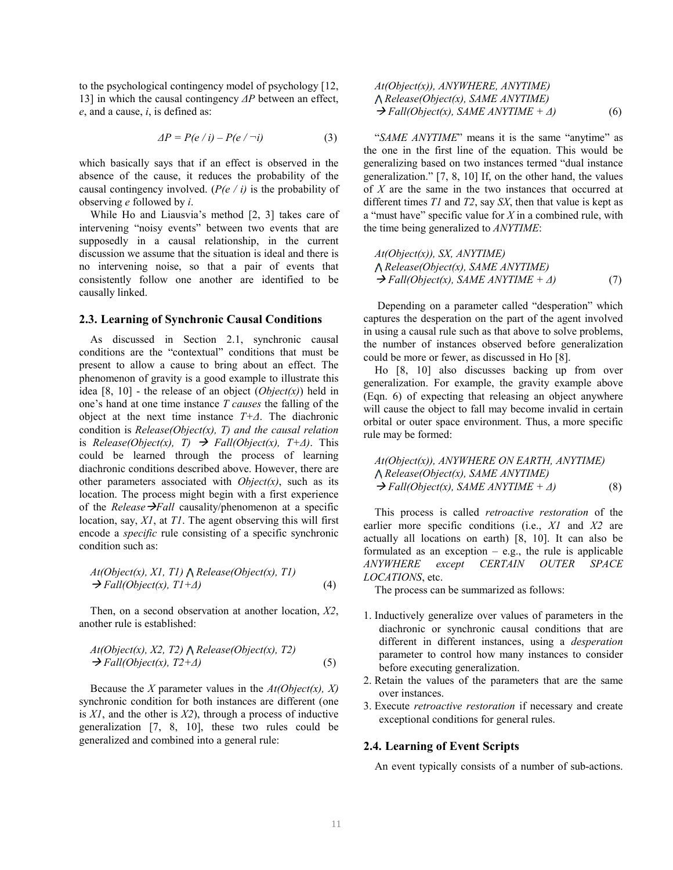to the psychological contingency model of psychology [12, 13] in which the causal contingency *ΔP* between an effect, *e*, and a cause, *i*, is defined as:

$$
\Delta P = P(e / i) - P(e / \neg i) \tag{3}
$$

which basically says that if an effect is observed in the absence of the cause, it reduces the probability of the causal contingency involved. (*P(e / i)* is the probability of observing *e* followed by *i*.

While Ho and Liausvia's method [2, 3] takes care of intervening "noisy events" between two events that are supposedly in a causal relationship, in the current discussion we assume that the situation is ideal and there is no intervening noise, so that a pair of events that consistently follow one another are identified to be causally linked.

#### **2.3. Learning of Synchronic Causal Conditions**

As discussed in Section 2.1, synchronic causal conditions are the "contextual" conditions that must be present to allow a cause to bring about an effect. The phenomenon of gravity is a good example to illustrate this idea [8, 10] - the release of an object (*Object(x)*) held in one's hand at one time instance *T causes* the falling of the object at the next time instance *T+Δ*. The diachronic condition is *Release(Object(x), T) and the causal relation*  is *Release(Object(x), T)*  $\rightarrow$  *Fall(Object(x), T+* $\Delta$ *)*. This could be learned through the process of learning diachronic conditions described above. However, there are other parameters associated with *Object(x)*, such as its location. The process might begin with a first experience of the *Release*  $\rightarrow$ *Fall* causality/phenomenon at a specific location, say, *X1*, at *T1*. The agent observing this will first encode a *specific* rule consisting of a specific synchronic condition such as:

$$
At(Object(x), XI, TI) \land Release(Object(x), TI)
$$
  
\n $\rightarrow Fall(Object(x), TI+A)$  (4)

Then, on a second observation at another location, *X2*, another rule is established:

$$
At(Object(x), X2, T2) \land Release(Object(x), T2)
$$
  
\n $\rightarrow Fall(Object(x), T2+A)$  (5)

Because the *X* parameter values in the *At(Object(x), X)* synchronic condition for both instances are different (one is *X1*, and the other is *X2*), through a process of inductive generalization [7, 8, 10], these two rules could be generalized and combined into a general rule:

$$
At(Object(x)), ANYWHERE, ANYTIME)
$$
  
 $\land Release(Object(x), SAME ANYTIME)$   
 $\rightarrow Fall(Object(x), SAME ANYTIME + \Delta)$  (6)

"*SAME ANYTIME*" means it is the same "anytime" as the one in the first line of the equation. This would be generalizing based on two instances termed "dual instance generalization." [7, 8, 10] If, on the other hand, the values of *X* are the same in the two instances that occurred at different times *T1* and *T2*, say *SX*, then that value is kept as a "must have" specific value for *X* in a combined rule, with the time being generalized to *ANYTIME*:

$$
At(Object(x)), SX, ANYTIME)
$$
  
 $\bigwedge$  Release(Object(x), SAME ANYTIME)  
 $\rightarrow$  Fall(Object(x), SAME ANYTIME +  $\Delta$ ) (7)

 Depending on a parameter called "desperation" which captures the desperation on the part of the agent involved in using a causal rule such as that above to solve problems, the number of instances observed before generalization could be more or fewer, as discussed in Ho [8].

Ho [8, 10] also discusses backing up from over generalization. For example, the gravity example above (Eqn. 6) of expecting that releasing an object anywhere will cause the object to fall may become invalid in certain orbital or outer space environment. Thus, a more specific rule may be formed:

$$
At(Object(x)), ANYWHERE ON EARTH, ANYTIME)
$$
  
 $\land Release(Object(x), SAME ANYTIME)$   
 $\rightarrow Fall(Object(x), SAME ANYTIME + \Delta)$  (8)

This process is called *retroactive restoration* of the earlier more specific conditions (i.e., *X1* and *X2* are actually all locations on earth) [8, 10]. It can also be formulated as an exception  $-$  e.g., the rule is applicable *ANYWHERE except CERTAIN OUTER SPACE LOCATIONS*, etc.

The process can be summarized as follows:

- 1. Inductively generalize over values of parameters in the diachronic or synchronic causal conditions that are different in different instances, using a *desperation* parameter to control how many instances to consider before executing generalization.
- 2. Retain the values of the parameters that are the same over instances.
- 3. Execute *retroactive restoration* if necessary and create exceptional conditions for general rules.

## **2.4. Learning of Event Scripts**

An event typically consists of a number of sub-actions.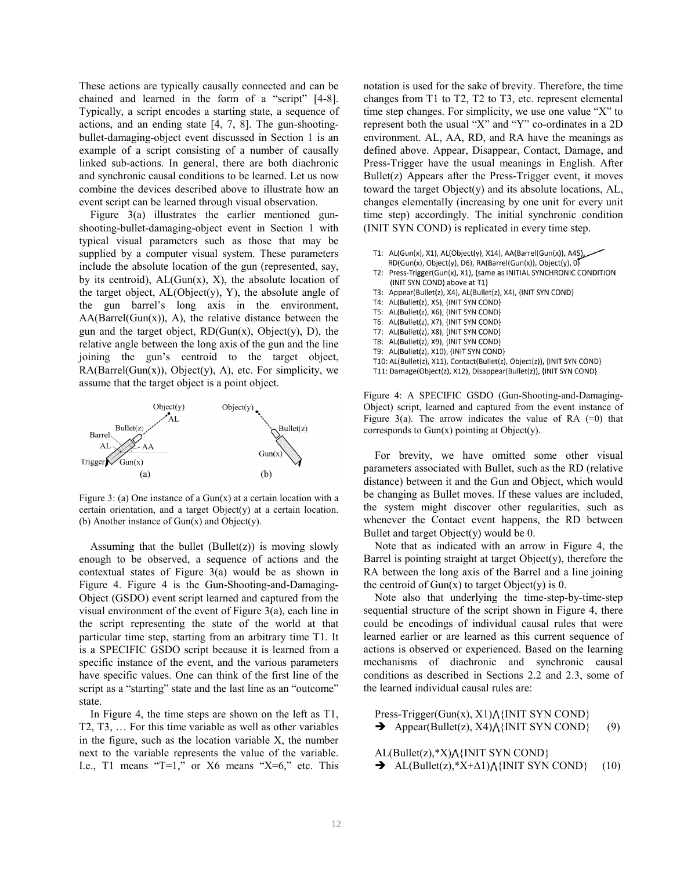These actions are typically causally connected and can be chained and learned in the form of a "script" [4-8]. Typically, a script encodes a starting state, a sequence of actions, and an ending state [4, 7, 8]. The gun-shootingbullet-damaging-object event discussed in Section 1 is an example of a script consisting of a number of causally linked sub-actions. In general, there are both diachronic and synchronic causal conditions to be learned. Let us now combine the devices described above to illustrate how an event script can be learned through visual observation.

Figure 3(a) illustrates the earlier mentioned gunshooting-bullet-damaging-object event in Section 1 with typical visual parameters such as those that may be supplied by a computer visual system. These parameters include the absolute location of the gun (represented, say, by its centroid),  $AL(Gun(x), X)$ , the absolute location of the target object,  $AL(Object(v), Y)$ , the absolute angle of the gun barrel's long axis in the environment,  $AA(Barrel(Gun(x)), A)$ , the relative distance between the gun and the target object,  $RD(Gun(x), Object(y), D)$ , the relative angle between the long axis of the gun and the line joining the gun's centroid to the target object,  $RA(Barrel(Gun(x)), Object(y), A), etc.$  For simplicity, we assume that the target object is a point object.



Figure 3: (a) One instance of a Gun(x) at a certain location with a certain orientation, and a target Object(y) at a certain location. (b) Another instance of  $Gun(x)$  and  $Object(y)$ .

Assuming that the bullet  $(Bullet(z))$  is moving slowly enough to be observed, a sequence of actions and the contextual states of Figure 3(a) would be as shown in Figure 4. Figure 4 is the Gun-Shooting-and-Damaging-Object (GSDO) event script learned and captured from the visual environment of the event of Figure 3(a), each line in the script representing the state of the world at that particular time step, starting from an arbitrary time T1. It is a SPECIFIC GSDO script because it is learned from a specific instance of the event, and the various parameters have specific values. One can think of the first line of the script as a "starting" state and the last line as an "outcome" state.

In Figure 4, the time steps are shown on the left as T1, T2, T3, … For this time variable as well as other variables in the figure, such as the location variable X, the number next to the variable represents the value of the variable. I.e., T1 means "T=1," or  $X6$  means " $X=6$ ," etc. This notation is used for the sake of brevity. Therefore, the time changes from T1 to T2, T2 to T3, etc. represent elemental time step changes. For simplicity, we use one value "X" to represent both the usual "X" and "Y" co-ordinates in a 2D environment. AL, AA, RD, and RA have the meanings as defined above. Appear, Disappear, Contact, Damage, and Press-Trigger have the usual meanings in English. After Bullet(z) Appears after the Press-Trigger event, it moves toward the target Object(y) and its absolute locations, AL, changes elementally (increasing by one unit for every unit time step) accordingly. The initial synchronic condition (INIT SYN COND) is replicated in every time step.

T1: AL(Gun(x), X1), AL(Object(y), X14), AA(Barrel(Gun(x)), A45), RD(Gun(x), Object(y), D6), RA(Barrel(Gun(x)), Object(y), 0) T2: Press-Trigger(Gun(x), X1), {same as INITIAL SYNCHRONIC CONDITION (INIT SYN COND) above at T1} T3: Appear(Bullet(z), X4), AL(Bullet(z), X4), {INIT SYN COND} AL(Bullet(z), X5), {INIT SYN COND}  $T4:$ T5: AL(Bullet(z), X6), {INIT SYN COND} T6: AL(Bullet(z), X7), {INIT SYN COND} AL(Bullet(z), X8), {INIT SYN COND}  $T7:$ T8: AL(Bullet(z), X9), {INIT SYN COND} T9: AL(Bullet(z), X10), {INIT SYN COND} T10: AL(Bullet(z), X11), Contact(Bullet(z), Object(z)), {INIT SYN COND} T11: Damage(Object(z), X12), Disappear(Bullet(z)), {INIT SYN COND}

Figure 4: A SPECIFIC GSDO (Gun-Shooting-and-Damaging-Object) script, learned and captured from the event instance of Figure 3(a). The arrow indicates the value of RA  $(=0)$  that corresponds to Gun(x) pointing at Object(y).

For brevity, we have omitted some other visual parameters associated with Bullet, such as the RD (relative distance) between it and the Gun and Object, which would be changing as Bullet moves. If these values are included, the system might discover other regularities, such as whenever the Contact event happens, the RD between Bullet and target  $Object(v)$  would be 0.

Note that as indicated with an arrow in Figure 4, the Barrel is pointing straight at target  $Object(y)$ , therefore the RA between the long axis of the Barrel and a line joining the centroid of  $Gun(x)$  to target Object(y) is 0.

Note also that underlying the time-step-by-time-step sequential structure of the script shown in Figure 4, there could be encodings of individual causal rules that were learned earlier or are learned as this current sequence of actions is observed or experienced. Based on the learning mechanisms of diachronic and synchronic causal conditions as described in Sections 2.2 and 2.3, some of the learned individual causal rules are:

Press-Trigger(Gun(x),  $X1$ ) $\Lambda$ {INIT SYN COND}  $\rightarrow$  Appear(Bullet(z), X4)  $\land$ {INIT SYN COND} (9)

 $AL(Bullet(z), *X) \wedge \{INIT SYNCOND\}$ AL(Bullet(z), \*X+ $\Delta$ 1)  $\Lambda$ {INIT SYN COND} (10)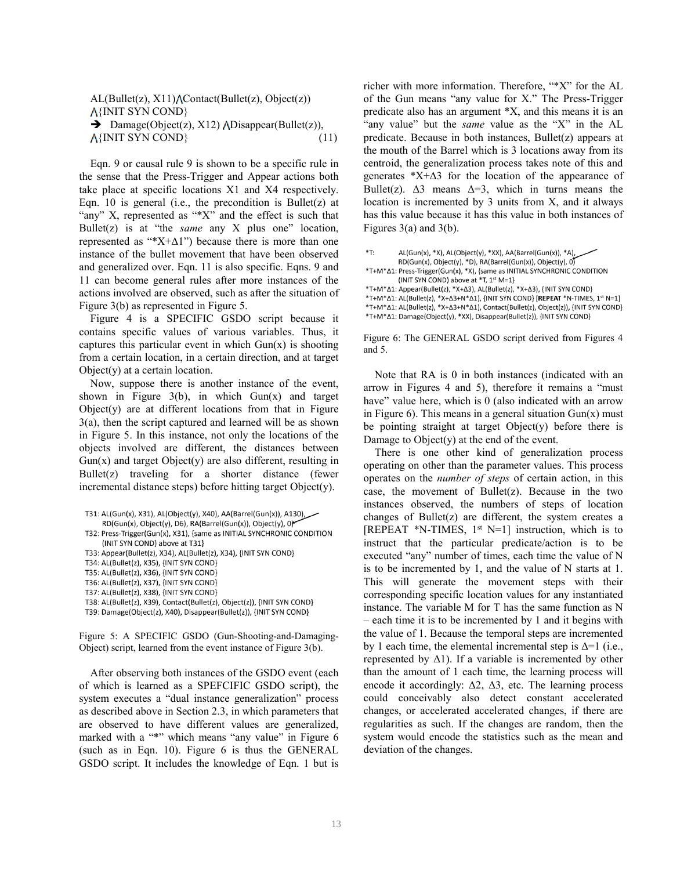$AL(Bullet(z), X11) \wedge Contact(Bullet(z), Object(z))$ {INIT SYN COND}  $\rightarrow$  Damage(Object(z), X12) ADisappear(Bullet(z)),  $\Lambda$ {INIT SYN COND} (11)

Eqn. 9 or causal rule 9 is shown to be a specific rule in the sense that the Press-Trigger and Appear actions both take place at specific locations X1 and X4 respectively. Eqn. 10 is general (i.e., the precondition is Bullet(z) at "any" X, represented as "\*X" and the effect is such that Bullet(z) is at "the *same* any X plus one" location, represented as " $X+\Delta 1$ ") because there is more than one instance of the bullet movement that have been observed and generalized over. Eqn. 11 is also specific. Eqns. 9 and 11 can become general rules after more instances of the actions involved are observed, such as after the situation of Figure 3(b) as represented in Figure 5.

Figure 4 is a SPECIFIC GSDO script because it contains specific values of various variables. Thus, it captures this particular event in which  $Gun(x)$  is shooting from a certain location, in a certain direction, and at target Object(y) at a certain location.

Now, suppose there is another instance of the event, shown in Figure  $3(b)$ , in which  $Gun(x)$  and target  $Object(y)$  are at different locations from that in Figure 3(a), then the script captured and learned will be as shown in Figure 5. In this instance, not only the locations of the objects involved are different, the distances between  $Gun(x)$  and target  $Object(y)$  are also different, resulting in Bullet(z) traveling for a shorter distance (fewer incremental distance steps) before hitting target Object(y).

| T31: AL(Gun(x), X31), AL(Object(y), X40), AA(Barrel(Gun(x)), A130), $\rightarrow$ |  |  |  |  |
|-----------------------------------------------------------------------------------|--|--|--|--|
| $RD(Gun(x), Object(y), D6), RA(Barrel(Gun(x)), Object(y), 0)$                     |  |  |  |  |
| T32: Press-Trigger(Gun(x), X31), {same as INITIAL SYNCHRONIC CONDITION            |  |  |  |  |

```
(INIT SYN COND) above at T31}
```
- T33: Appear(Bullet(z), X34), AL(Bullet(z), X34), {INIT SYN COND}
- T34: AL(Bullet(z), X35), {INIT SYN COND}
- T35: AL(Bullet(z), X36), {INIT SYN COND}
- T36: AL(Bullet(z), X37), {INIT SYN COND}
- T37: AL(Bullet(z), X38), {INIT SYN COND}
- T38: AL(Bullet(z), X39), Contact(Bullet(z), Object(z)), {INIT SYN COND}

T39: Damage(Object(z), X40), Disappear(Bullet(z)), {INIT SYN COND}

Figure 5: A SPECIFIC GSDO (Gun-Shooting-and-Damaging-Object) script, learned from the event instance of Figure 3(b).

After observing both instances of the GSDO event (each of which is learned as a SPEFCIFIC GSDO script), the system executes a "dual instance generalization" process as described above in Section 2.3, in which parameters that are observed to have different values are generalized, marked with a "\*" which means "any value" in Figure 6 (such as in Eqn. 10). Figure 6 is thus the GENERAL GSDO script. It includes the knowledge of Eqn. 1 but is

richer with more information. Therefore, "\*X" for the AL of the Gun means "any value for X." The Press-Trigger predicate also has an argument \*X, and this means it is an "any value" but the *same* value as the "X" in the AL predicate. Because in both instances, Bullet(z) appears at the mouth of the Barrel which is 3 locations away from its centroid, the generalization process takes note of this and generates  $*X+\Delta 3$  for the location of the appearance of Bullet(z).  $\Delta$ 3 means  $\Delta$ =3, which in turns means the location is incremented by 3 units from X, and it always has this value because it has this value in both instances of Figures  $3(a)$  and  $3(b)$ .

| *T: | AL(Gun(x), *X), AL(Object(y), *XX), AA(Barrel(Gun(x)), *A),<br>$RD(Gun(x), Object(y), *D), RA(Barrel(Gun(x)), Object(y), 0)$                                                                                                                                                                                                                                                     |
|-----|----------------------------------------------------------------------------------------------------------------------------------------------------------------------------------------------------------------------------------------------------------------------------------------------------------------------------------------------------------------------------------|
|     | *T+M* $\Delta$ 1: Press-Trigger(Gun(x), *X), {same as INITIAL SYNCHRONIC CONDITION<br>(INIT SYN COND) above at *T, 1 <sup>st</sup> M=1}                                                                                                                                                                                                                                          |
|     | *T+M*Δ1: Appear(Bullet(z), *X+Δ3), AL(Bullet(z), *X+Δ3), {INIT SYN COND}<br>*T+M* $\Delta$ 1: AL(Bullet(z), *X+ $\Delta$ 3+N* $\Delta$ 1), {INIT SYN COND} [REPEAT *N-TIMES, 1st N=1]<br>*T+M* $\Delta$ 1: AL(Bullet(z), *X+ $\Delta$ 3+N* $\Delta$ 1), Contact(Bullet(z), Object(z)), {INIT SYN COND}<br>*T+M*Δ1: Damage(Object(y), *XX), Disappear(Bullet(z)), {INIT SYN COND} |

Figure 6: The GENERAL GSDO script derived from Figures 4 and 5.

Note that RA is 0 in both instances (indicated with an arrow in Figures 4 and 5), therefore it remains a "must have" value here, which is 0 (also indicated with an arrow in Figure 6). This means in a general situation  $Gun(x)$  must be pointing straight at target Object(y) before there is Damage to  $Object(y)$  at the end of the event.

There is one other kind of generalization process operating on other than the parameter values. This process operates on the *number of steps* of certain action, in this case, the movement of Bullet(z). Because in the two instances observed, the numbers of steps of location changes of Bullet(z) are different, the system creates a [REPEAT  $*N$ -TIMES, 1<sup>st</sup> N=1] instruction, which is to instruct that the particular predicate/action is to be executed "any" number of times, each time the value of N is to be incremented by 1, and the value of N starts at 1. This will generate the movement steps with their corresponding specific location values for any instantiated instance. The variable M for T has the same function as N – each time it is to be incremented by 1 and it begins with the value of 1. Because the temporal steps are incremented by 1 each time, the elemental incremental step is  $\Delta=1$  (i.e., represented by  $\Delta$ 1). If a variable is incremented by other than the amount of 1 each time, the learning process will encode it accordingly:  $\Delta 2$ ,  $\Delta 3$ , etc. The learning process could conceivably also detect constant accelerated changes, or accelerated accelerated changes, if there are regularities as such. If the changes are random, then the system would encode the statistics such as the mean and deviation of the changes.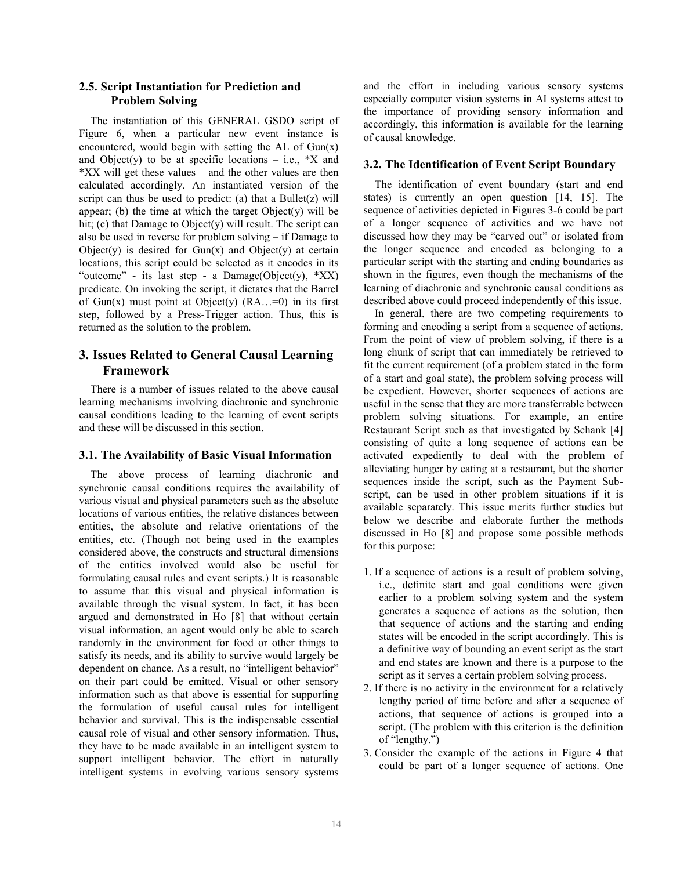## **2.5. Script Instantiation for Prediction and Problem Solving**

The instantiation of this GENERAL GSDO script of Figure 6, when a particular new event instance is encountered, would begin with setting the AL of  $Gun(x)$ and Object(y) to be at specific locations – i.e.,  $*X$  and \*XX will get these values – and the other values are then calculated accordingly. An instantiated version of the script can thus be used to predict: (a) that a Bullet $(z)$  will appear; (b) the time at which the target  $Object(y)$  will be hit; (c) that Damage to Object(y) will result. The script can also be used in reverse for problem solving – if Damage to Object(y) is desired for  $Gun(x)$  and  $Object(y)$  at certain locations, this script could be selected as it encodes in its "outcome" - its last step - a Damage(Object(y),  $*XX$ ) predicate. On invoking the script, it dictates that the Barrel of Gun(x) must point at Object(y)  $(RA...=0)$  in its first step, followed by a Press-Trigger action. Thus, this is returned as the solution to the problem.

## **3. Issues Related to General Causal Learning Framework**

There is a number of issues related to the above causal learning mechanisms involving diachronic and synchronic causal conditions leading to the learning of event scripts and these will be discussed in this section.

### **3.1. The Availability of Basic Visual Information**

The above process of learning diachronic and synchronic causal conditions requires the availability of various visual and physical parameters such as the absolute locations of various entities, the relative distances between entities, the absolute and relative orientations of the entities, etc. (Though not being used in the examples considered above, the constructs and structural dimensions of the entities involved would also be useful for formulating causal rules and event scripts.) It is reasonable to assume that this visual and physical information is available through the visual system. In fact, it has been argued and demonstrated in Ho [8] that without certain visual information, an agent would only be able to search randomly in the environment for food or other things to satisfy its needs, and its ability to survive would largely be dependent on chance. As a result, no "intelligent behavior" on their part could be emitted. Visual or other sensory information such as that above is essential for supporting the formulation of useful causal rules for intelligent behavior and survival. This is the indispensable essential causal role of visual and other sensory information. Thus, they have to be made available in an intelligent system to support intelligent behavior. The effort in naturally intelligent systems in evolving various sensory systems

and the effort in including various sensory systems especially computer vision systems in AI systems attest to the importance of providing sensory information and accordingly, this information is available for the learning of causal knowledge.

#### **3.2. The Identification of Event Script Boundary**

The identification of event boundary (start and end states) is currently an open question [14, 15]. The sequence of activities depicted in Figures 3-6 could be part of a longer sequence of activities and we have not discussed how they may be "carved out" or isolated from the longer sequence and encoded as belonging to a particular script with the starting and ending boundaries as shown in the figures, even though the mechanisms of the learning of diachronic and synchronic causal conditions as described above could proceed independently of this issue.

In general, there are two competing requirements to forming and encoding a script from a sequence of actions. From the point of view of problem solving, if there is a long chunk of script that can immediately be retrieved to fit the current requirement (of a problem stated in the form of a start and goal state), the problem solving process will be expedient. However, shorter sequences of actions are useful in the sense that they are more transferrable between problem solving situations. For example, an entire Restaurant Script such as that investigated by Schank [4] consisting of quite a long sequence of actions can be activated expediently to deal with the problem of alleviating hunger by eating at a restaurant, but the shorter sequences inside the script, such as the Payment Subscript, can be used in other problem situations if it is available separately. This issue merits further studies but below we describe and elaborate further the methods discussed in Ho [8] and propose some possible methods for this purpose:

- 1. If a sequence of actions is a result of problem solving, i.e., definite start and goal conditions were given earlier to a problem solving system and the system generates a sequence of actions as the solution, then that sequence of actions and the starting and ending states will be encoded in the script accordingly. This is a definitive way of bounding an event script as the start and end states are known and there is a purpose to the script as it serves a certain problem solving process.
- 2. If there is no activity in the environment for a relatively lengthy period of time before and after a sequence of actions, that sequence of actions is grouped into a script. (The problem with this criterion is the definition of "lengthy.")
- 3. Consider the example of the actions in Figure 4 that could be part of a longer sequence of actions. One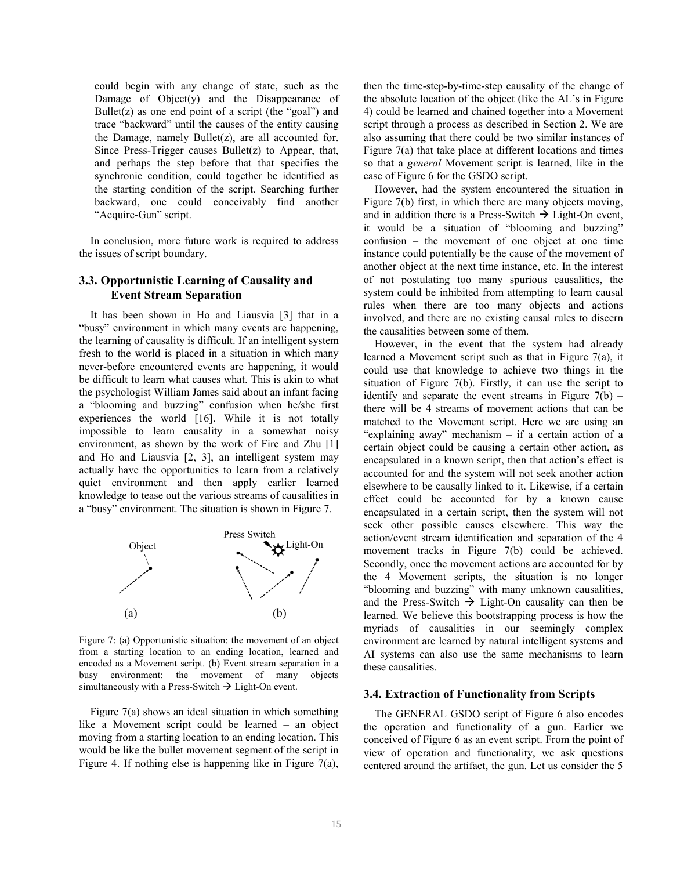could begin with any change of state, such as the Damage of  $Object(y)$  and the Disappearance of Bullet( $z$ ) as one end point of a script (the "goal") and trace "backward" until the causes of the entity causing the Damage, namely Bullet(z), are all accounted for. Since Press-Trigger causes Bullet(z) to Appear, that, and perhaps the step before that that specifies the synchronic condition, could together be identified as the starting condition of the script. Searching further backward, one could conceivably find another "Acquire-Gun" script.

In conclusion, more future work is required to address the issues of script boundary.

### **3.3. Opportunistic Learning of Causality and Event Stream Separation**

It has been shown in Ho and Liausvia [3] that in a "busy" environment in which many events are happening, the learning of causality is difficult. If an intelligent system fresh to the world is placed in a situation in which many never-before encountered events are happening, it would be difficult to learn what causes what. This is akin to what the psychologist William James said about an infant facing a "blooming and buzzing" confusion when he/she first experiences the world [16]. While it is not totally impossible to learn causality in a somewhat noisy environment, as shown by the work of Fire and Zhu [1] and Ho and Liausvia [2, 3], an intelligent system may actually have the opportunities to learn from a relatively quiet environment and then apply earlier learned knowledge to tease out the various streams of causalities in a "busy" environment. The situation is shown in Figure 7.



Figure 7: (a) Opportunistic situation: the movement of an object from a starting location to an ending location, learned and encoded as a Movement script. (b) Event stream separation in a busy environment: the movement of many objects simultaneously with a Press-Switch  $\rightarrow$  Light-On event.

Figure 7(a) shows an ideal situation in which something like a Movement script could be learned – an object moving from a starting location to an ending location. This would be like the bullet movement segment of the script in Figure 4. If nothing else is happening like in Figure 7(a), then the time-step-by-time-step causality of the change of the absolute location of the object (like the AL's in Figure 4) could be learned and chained together into a Movement script through a process as described in Section 2. We are also assuming that there could be two similar instances of Figure 7(a) that take place at different locations and times so that a *general* Movement script is learned, like in the case of Figure 6 for the GSDO script.

However, had the system encountered the situation in Figure 7(b) first, in which there are many objects moving, and in addition there is a Press-Switch  $\rightarrow$  Light-On event, it would be a situation of "blooming and buzzing" confusion – the movement of one object at one time instance could potentially be the cause of the movement of another object at the next time instance, etc. In the interest of not postulating too many spurious causalities, the system could be inhibited from attempting to learn causal rules when there are too many objects and actions involved, and there are no existing causal rules to discern the causalities between some of them.

However, in the event that the system had already learned a Movement script such as that in Figure 7(a), it could use that knowledge to achieve two things in the situation of Figure 7(b). Firstly, it can use the script to identify and separate the event streams in Figure  $7(b)$  – there will be 4 streams of movement actions that can be matched to the Movement script. Here we are using an "explaining away" mechanism – if a certain action of a certain object could be causing a certain other action, as encapsulated in a known script, then that action's effect is accounted for and the system will not seek another action elsewhere to be causally linked to it. Likewise, if a certain effect could be accounted for by a known cause encapsulated in a certain script, then the system will not seek other possible causes elsewhere. This way the action/event stream identification and separation of the 4 movement tracks in Figure 7(b) could be achieved. Secondly, once the movement actions are accounted for by the 4 Movement scripts, the situation is no longer "blooming and buzzing" with many unknown causalities, and the Press-Switch  $\rightarrow$  Light-On causality can then be learned. We believe this bootstrapping process is how the myriads of causalities in our seemingly complex environment are learned by natural intelligent systems and AI systems can also use the same mechanisms to learn these causalities.

#### **3.4. Extraction of Functionality from Scripts**

The GENERAL GSDO script of Figure 6 also encodes the operation and functionality of a gun. Earlier we conceived of Figure 6 as an event script. From the point of view of operation and functionality, we ask questions centered around the artifact, the gun. Let us consider the 5